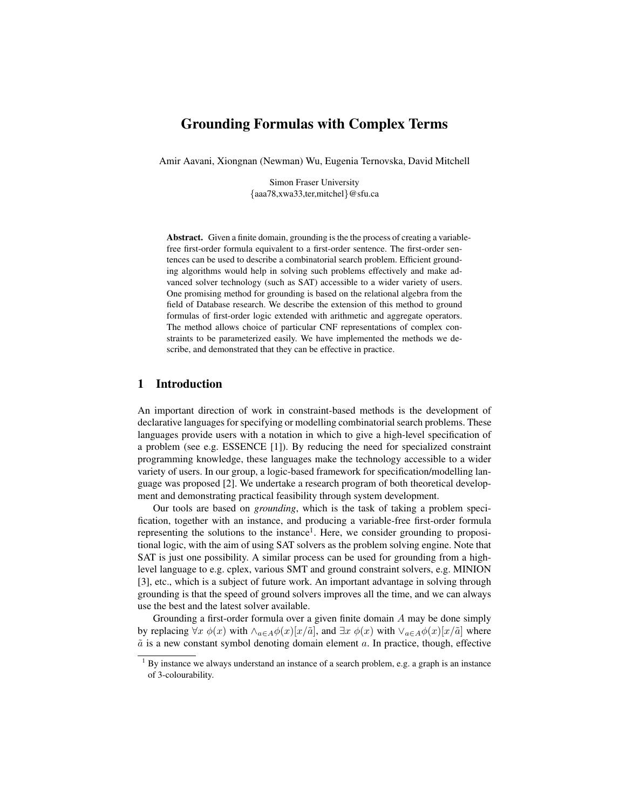# Grounding Formulas with Complex Terms

Amir Aavani, Xiongnan (Newman) Wu, Eugenia Ternovska, David Mitchell

Simon Fraser University {aaa78,xwa33,ter,mitchel}@sfu.ca

Abstract. Given a finite domain, grounding is the the process of creating a variablefree first-order formula equivalent to a first-order sentence. The first-order sentences can be used to describe a combinatorial search problem. Efficient grounding algorithms would help in solving such problems effectively and make advanced solver technology (such as SAT) accessible to a wider variety of users. One promising method for grounding is based on the relational algebra from the field of Database research. We describe the extension of this method to ground formulas of first-order logic extended with arithmetic and aggregate operators. The method allows choice of particular CNF representations of complex constraints to be parameterized easily. We have implemented the methods we describe, and demonstrated that they can be effective in practice.

### 1 Introduction

An important direction of work in constraint-based methods is the development of declarative languages for specifying or modelling combinatorial search problems. These languages provide users with a notation in which to give a high-level specification of a problem (see e.g. ESSENCE [1]). By reducing the need for specialized constraint programming knowledge, these languages make the technology accessible to a wider variety of users. In our group, a logic-based framework for specification/modelling language was proposed [2]. We undertake a research program of both theoretical development and demonstrating practical feasibility through system development.

Our tools are based on *grounding*, which is the task of taking a problem specification, together with an instance, and producing a variable-free first-order formula representing the solutions to the instance<sup>1</sup>. Here, we consider grounding to propositional logic, with the aim of using SAT solvers as the problem solving engine. Note that SAT is just one possibility. A similar process can be used for grounding from a highlevel language to e.g. cplex, various SMT and ground constraint solvers, e.g. MINION [3], etc., which is a subject of future work. An important advantage in solving through grounding is that the speed of ground solvers improves all the time, and we can always use the best and the latest solver available.

Grounding a first-order formula over a given finite domain A may be done simply by replacing  $\forall x \phi(x)$  with  $\wedge_{a \in A} \phi(x)[x/\tilde{a}]$ , and  $\exists x \phi(x)$  with  $\vee_{a \in A} \phi(x)[x/\tilde{a}]$  where  $\tilde{a}$  is a new constant symbol denoting domain element  $a$ . In practice, though, effective

 $1$  By instance we always understand an instance of a search problem, e.g. a graph is an instance of 3-colourability.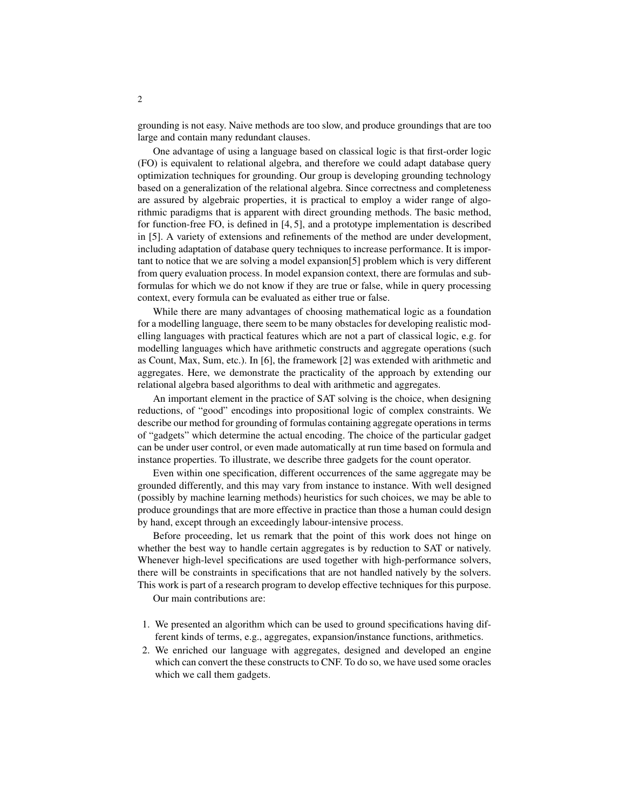grounding is not easy. Naive methods are too slow, and produce groundings that are too large and contain many redundant clauses.

One advantage of using a language based on classical logic is that first-order logic (FO) is equivalent to relational algebra, and therefore we could adapt database query optimization techniques for grounding. Our group is developing grounding technology based on a generalization of the relational algebra. Since correctness and completeness are assured by algebraic properties, it is practical to employ a wider range of algorithmic paradigms that is apparent with direct grounding methods. The basic method, for function-free FO, is defined in [4, 5], and a prototype implementation is described in [5]. A variety of extensions and refinements of the method are under development, including adaptation of database query techniques to increase performance. It is important to notice that we are solving a model expansion[5] problem which is very different from query evaluation process. In model expansion context, there are formulas and subformulas for which we do not know if they are true or false, while in query processing context, every formula can be evaluated as either true or false.

While there are many advantages of choosing mathematical logic as a foundation for a modelling language, there seem to be many obstacles for developing realistic modelling languages with practical features which are not a part of classical logic, e.g. for modelling languages which have arithmetic constructs and aggregate operations (such as Count, Max, Sum, etc.). In [6], the framework [2] was extended with arithmetic and aggregates. Here, we demonstrate the practicality of the approach by extending our relational algebra based algorithms to deal with arithmetic and aggregates.

An important element in the practice of SAT solving is the choice, when designing reductions, of "good" encodings into propositional logic of complex constraints. We describe our method for grounding of formulas containing aggregate operations in terms of "gadgets" which determine the actual encoding. The choice of the particular gadget can be under user control, or even made automatically at run time based on formula and instance properties. To illustrate, we describe three gadgets for the count operator.

Even within one specification, different occurrences of the same aggregate may be grounded differently, and this may vary from instance to instance. With well designed (possibly by machine learning methods) heuristics for such choices, we may be able to produce groundings that are more effective in practice than those a human could design by hand, except through an exceedingly labour-intensive process.

Before proceeding, let us remark that the point of this work does not hinge on whether the best way to handle certain aggregates is by reduction to SAT or natively. Whenever high-level specifications are used together with high-performance solvers, there will be constraints in specifications that are not handled natively by the solvers. This work is part of a research program to develop effective techniques for this purpose.

Our main contributions are:

- 1. We presented an algorithm which can be used to ground specifications having different kinds of terms, e.g., aggregates, expansion/instance functions, arithmetics.
- 2. We enriched our language with aggregates, designed and developed an engine which can convert the these constructs to CNF. To do so, we have used some oracles which we call them gadgets.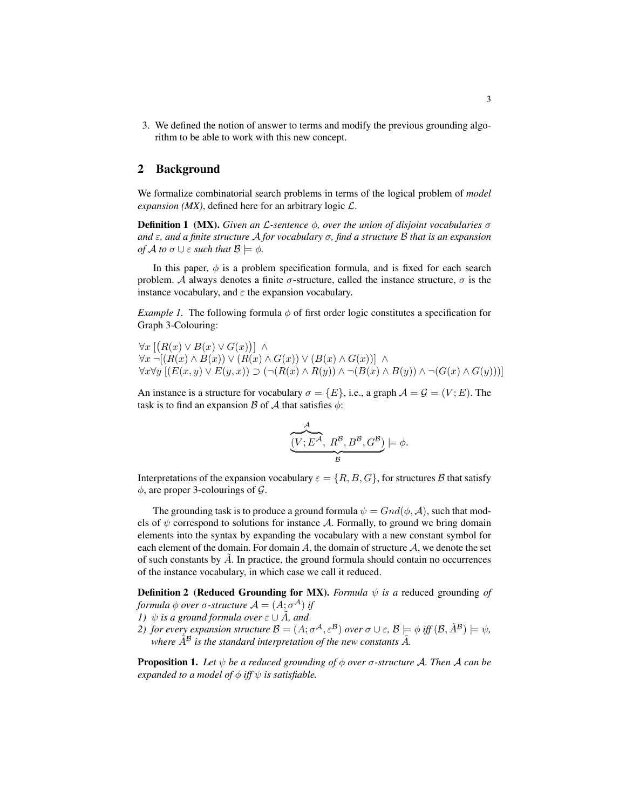3. We defined the notion of answer to terms and modify the previous grounding algorithm to be able to work with this new concept.

## 2 Background

We formalize combinatorial search problems in terms of the logical problem of *model expansion (MX)*, defined here for an arbitrary logic  $\mathcal{L}$ .

Definition 1 (MX). *Given an* L*-sentence* φ*, over the union of disjoint vocabularies* σ *and* ε*, and a finite structure* A *for vocabulary* σ*, find a structure* B *that is an expansion of A to*  $\sigma \cup \varepsilon$  *such that*  $\mathcal{B} \models \phi$ *.* 

In this paper,  $\phi$  is a problem specification formula, and is fixed for each search problem. A always denotes a finite  $\sigma$ -structure, called the instance structure,  $\sigma$  is the instance vocabulary, and  $\varepsilon$  the expansion vocabulary.

*Example 1.* The following formula  $\phi$  of first order logic constitutes a specification for Graph 3-Colouring:

 $\forall x \left[ (R(x) \vee B(x) \vee G(x)) \right] \wedge$  $\forall x \neg [(R(x) \land B(x)) \lor (R(x) \land G(x)) \lor (B(x) \land G(x))] \land$  $\forall x \forall y \left[ (E(x, y) \vee E(y, x)) \supset (\neg (R(x) \wedge R(y)) \wedge \neg (B(x) \wedge B(y)) \wedge \neg (G(x) \wedge G(y))) \right]$ 

An instance is a structure for vocabulary  $\sigma = \{E\}$ , i.e., a graph  $\mathcal{A} = \mathcal{G} = (V; E)$ . The task is to find an expansion B of A that satisfies  $\phi$ :

$$
\underbrace{\overbrace{(V; E^{\mathcal{A}}, R^{\mathcal{B}}, B^{\mathcal{B}}, G^{\mathcal{B}})}_{\mathcal{B}}}\models \phi.
$$

Interpretations of the expansion vocabulary  $\varepsilon = \{R, B, G\}$ , for structures B that satisfy  $\phi$ , are proper 3-colourings of  $\mathcal{G}$ .

The grounding task is to produce a ground formula  $\psi = Gnd(\phi, \mathcal{A})$ , such that models of  $\psi$  correspond to solutions for instance A. Formally, to ground we bring domain elements into the syntax by expanding the vocabulary with a new constant symbol for each element of the domain. For domain A, the domain of structure  $\mathcal{A}$ , we denote the set of such constants by  $\tilde{A}$ . In practice, the ground formula should contain no occurrences of the instance vocabulary, in which case we call it reduced.

**Definition 2** (Reduced Grounding for MX). *Formula*  $\psi$  *is a* reduced grounding of *formula*  $\phi$  *over*  $\sigma$ *-structure*  $\mathcal{A} = (A; \sigma^{\mathcal{A}})$  *if* 

- *1)*  $\psi$  *is a ground formula over*  $\varepsilon \cup A$ *, and*
- *2*) for every expansion structure  $B = (A; \sigma^A, \varepsilon^B)$  over  $\sigma \cup \varepsilon$ ,  $B \models \phi$  iff  $(B, \tilde{A}^B) \models \psi$ , where  $\tilde{A}^B$  *is the standard interpretation of the new constants*  $\tilde{A}$ *.*

**Proposition 1.** Let  $\psi$  be a reduced grounding of  $\phi$  over  $\sigma$ -structure A. Then A can be *expanded to a model of*  $\phi$  *iff*  $\psi$  *is satisfiable.*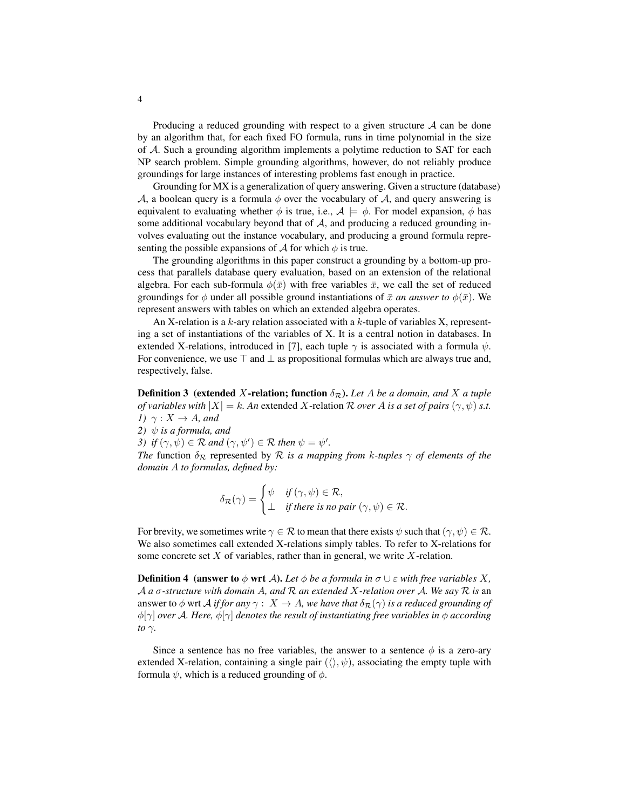Producing a reduced grounding with respect to a given structure  $A$  can be done by an algorithm that, for each fixed FO formula, runs in time polynomial in the size of A. Such a grounding algorithm implements a polytime reduction to SAT for each NP search problem. Simple grounding algorithms, however, do not reliably produce groundings for large instances of interesting problems fast enough in practice.

Grounding for MX is a generalization of query answering. Given a structure (database) A, a boolean query is a formula  $\phi$  over the vocabulary of A, and query answering is equivalent to evaluating whether  $\phi$  is true, i.e.,  $\mathcal{A} \models \phi$ . For model expansion,  $\phi$  has some additional vocabulary beyond that of  $A$ , and producing a reduced grounding involves evaluating out the instance vocabulary, and producing a ground formula representing the possible expansions of  $A$  for which  $\phi$  is true.

The grounding algorithms in this paper construct a grounding by a bottom-up process that parallels database query evaluation, based on an extension of the relational algebra. For each sub-formula  $\phi(\bar{x})$  with free variables  $\bar{x}$ , we call the set of reduced groundings for  $\phi$  under all possible ground instantiations of  $\bar{x}$  *an answer to*  $\phi(\bar{x})$ . We represent answers with tables on which an extended algebra operates.

An X-relation is a  $k$ -ary relation associated with a  $k$ -tuple of variables X, representing a set of instantiations of the variables of X. It is a central notion in databases. In extended X-relations, introduced in [7], each tuple  $\gamma$  is associated with a formula  $\psi$ . For convenience, we use  $\top$  and  $\bot$  as propositional formulas which are always true and, respectively, false.

**Definition 3** (extended X-relation; function  $\delta_{\mathcal{R}}$ ). Let A be a domain, and X a tuple *of variables with*  $|X| = k$ *. An* extended X-relation R *over* A *is a set of pairs*  $(\gamma, \psi)$  *s.t. 1*)  $\gamma: X \to A$ *, and* 

*2)*  $\psi$  *is a formula, and* 

*3*) if  $(\gamma, \psi) \in \mathcal{R}$  and  $(\gamma, \psi') \in \mathcal{R}$  then  $\psi = \psi'$ .

*The* function  $\delta_{\mathcal{R}}$  represented by  $\mathcal R$  *is a mapping from k-tuples*  $\gamma$  *of elements of the domain* A *to formulas, defined by:*

$$
\delta_{\mathcal{R}}(\gamma) = \begin{cases} \psi & \text{if } (\gamma, \psi) \in \mathcal{R}, \\ \bot & \text{if there is no pair } (\gamma, \psi) \in \mathcal{R}. \end{cases}
$$

For brevity, we sometimes write  $\gamma \in \mathcal{R}$  to mean that there exists  $\psi$  such that  $(\gamma, \psi) \in \mathcal{R}$ . We also sometimes call extended X-relations simply tables. To refer to X-relations for some concrete set  $X$  of variables, rather than in general, we write  $X$ -relation.

**Definition 4** (answer to  $\phi$  wrt A). Let  $\phi$  be a formula in  $\sigma \cup \varepsilon$  with free variables X, A *a* σ*-structure with domain* A*, and* R *an extended* X*-relation over* A*. We say* R *is* an answer to  $\phi$  wrt *A if for any*  $\gamma$  :  $X \to A$ *, we have that*  $\delta_{\mathcal{R}}(\gamma)$  *is a reduced grounding of* φ[γ] *over* A*. Here,* φ[γ] *denotes the result of instantiating free variables in* φ *according to* γ*.*

Since a sentence has no free variables, the answer to a sentence  $\phi$  is a zero-ary extended X-relation, containing a single pair  $(\langle \rangle, \psi)$ , associating the empty tuple with formula  $\psi$ , which is a reduced grounding of  $\phi$ .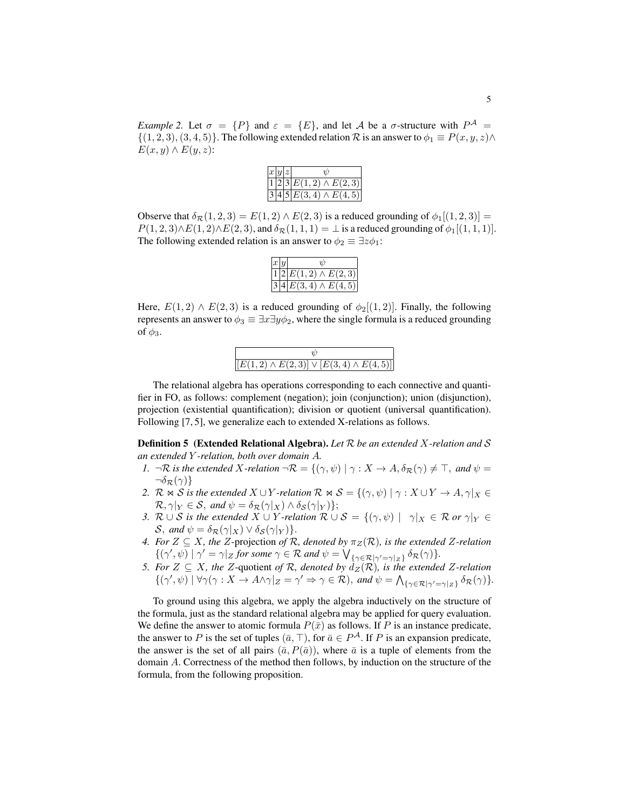*Example 2.* Let  $\sigma = \{P\}$  and  $\varepsilon = \{E\}$ , and let A be a  $\sigma$ -structure with  $P^{\mathcal{A}} =$  $\{(1, 2, 3), (3, 4, 5)\}.$  The following extended relation R is an answer to  $\phi_1 \equiv P(x, y, z) \wedge \phi_2$  $E(x, y) \wedge E(y, z)$ :

| x  y  z |  |                              |
|---------|--|------------------------------|
|         |  | $1 2 3 E(1,2) \wedge E(2,3)$ |
|         |  | $3 4 5 E(3,4) \wedge E(4,5)$ |

Observe that  $\delta_{\mathcal{R}}(1,2,3) = E(1,2) \wedge E(2,3)$  is a reduced grounding of  $\phi_1[(1,2,3)] =$  $P(1, 2, 3) \wedge E(1, 2) \wedge E(2, 3)$ , and  $\delta_{\mathcal{R}}(1, 1, 1) = \bot$  is a reduced grounding of  $\phi_1[(1, 1, 1)]$ . The following extended relation is an answer to  $\phi_2 \equiv \exists z \phi_1$ :

| x y |                             |
|-----|-----------------------------|
|     | $1 2 E(1,2) \wedge E(2,3) $ |
|     | $3 4 E(3,4) \wedge E(4,5) $ |

Here,  $E(1,2) \wedge E(2,3)$  is a reduced grounding of  $\phi_2[(1,2)]$ . Finally, the following represents an answer to  $\phi_3 \equiv \exists x \exists y \phi_2$ , where the single formula is a reduced grounding of  $\phi_3$ .

| $[E(1,2) \wedge E(2,3)] \vee [E(3,4) \wedge E(4,5)]$ |
|------------------------------------------------------|

The relational algebra has operations corresponding to each connective and quantifier in FO, as follows: complement (negation); join (conjunction); union (disjunction), projection (existential quantification); division or quotient (universal quantification). Following [7, 5], we generalize each to extended X-relations as follows.

Definition 5 (Extended Relational Algebra). *Let* R *be an extended* X*-relation and* S *an extended* Y *-relation, both over domain* A*.*

- *1.*  $\neg R$  *is the extended* X-relation  $\neg R = \{(\gamma, \psi) | \gamma : X \to A, \delta_R(\gamma) \neq \top, \text{ and } \psi = \emptyset\}$  $\neg \delta_{\mathcal{R}}(\gamma)$ }
- 2.  $\mathcal{R} \bowtie \mathcal{S}$  *is the extended*  $X \cup Y$ *-relation*  $\mathcal{R} \bowtie \mathcal{S} = \{(\gamma, \psi) \mid \gamma : X \cup Y \to A, \gamma |_{X} \in \mathcal{S} \}$  $\mathcal{R}, \gamma|_Y \in \mathcal{S}, \text{ and } \psi = \delta_{\mathcal{R}}(\gamma|_X) \wedge \delta_{\mathcal{S}}(\gamma|_Y) \};$
- *3.*  $\mathcal{R} \cup \mathcal{S}$  *is the extended*  $X \cup Y$ *-relation*  $\mathcal{R} \cup \mathcal{S} = \{(\gamma, \psi) \mid \gamma | X \in \mathcal{R} \text{ or } \gamma | Y \in \mathcal{S} \}$ S, and  $\psi = \delta_{\mathcal{R}}(\gamma | X) \vee \delta_{\mathcal{S}}(\gamma | Y)$ .
- *4. For*  $Z \subseteq X$ *, the* Z-projection of R*, denoted by*  $\pi_Z(\mathcal{R})$ *, is the extended* Z-relation  $\{(\gamma', \psi) \mid \gamma' = \gamma | z \text{ for some } \gamma \in \mathcal{R} \text{ and } \psi = \bigvee_{\{\gamma \in \mathcal{R} | \gamma' = \gamma | z\}} \delta_{\mathcal{R}}(\gamma) \}.$
- *5. For*  $Z \subseteq X$ *, the*  $Z$ -quotient *of*  $R$ *, denoted by*  $d_Z(R)$ *, is the extended*  $Z$ -relation  $\{(\gamma', \psi) \mid \forall \gamma(\gamma : X \to A \land \gamma|_Z = \gamma' \Rightarrow \gamma \in \mathcal{R})\}$ , and  $\psi = \bigwedge_{\{\gamma \in \mathcal{R} \mid \gamma' = \gamma|_Z\}} \delta_{\mathcal{R}}(\gamma)\}.$

To ground using this algebra, we apply the algebra inductively on the structure of the formula, just as the standard relational algebra may be applied for query evaluation. We define the answer to atomic formula  $P(\bar{x})$  as follows. If P is an instance predicate, the answer to P is the set of tuples  $(\bar{a}, \top)$ , for  $\bar{a} \in P^{\mathcal{A}}$ . If P is an expansion predicate, the answer is the set of all pairs  $(\bar{a}, P(\bar{a}))$ , where  $\bar{a}$  is a tuple of elements from the domain A. Correctness of the method then follows, by induction on the structure of the formula, from the following proposition.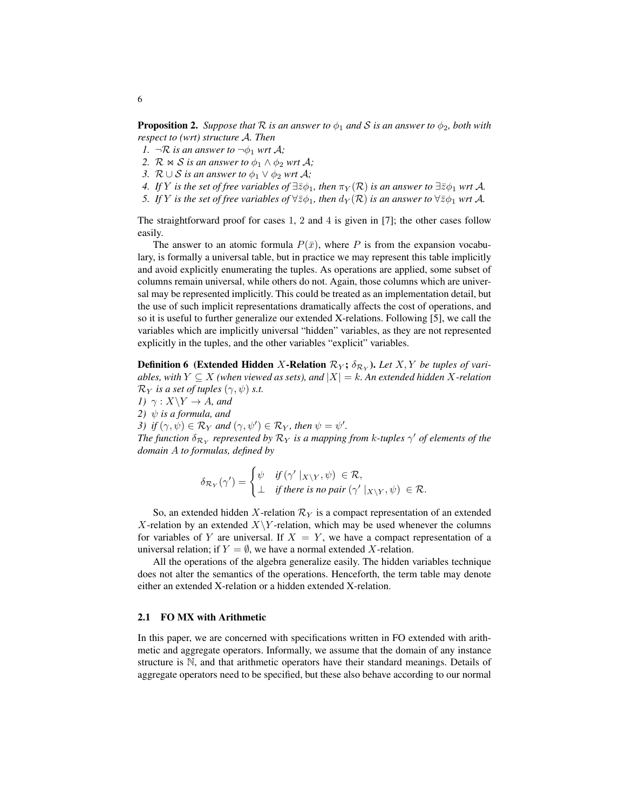**Proposition 2.** *Suppose that*  $\mathcal R$  *is an answer to*  $\phi_1$  *and*  $\mathcal S$  *is an answer to*  $\phi_2$ *, both with respect to (wrt) structure* A*. Then*

- *1.*  $\neg R$  *is an answer to*  $\neg \phi_1$  *wrt A;*
- *2.*  $\mathcal{R} \bowtie \mathcal{S}$  *is an answer to*  $\phi_1 \wedge \phi_2$  *wrt*  $\mathcal{A}$ *;*
- *3.*  $\mathcal{R} \cup \mathcal{S}$  *is an answer to*  $\phi_1 \vee \phi_2$  *wrt*  $\mathcal{A}$ *;*
- *4. If* Y *is the set of free variables of*  $\exists \overline{z} \phi_1$ *, then*  $\pi_Y(\mathcal{R})$  *is an answer to*  $\exists \overline{z} \phi_1$  *wrt* A.
- *5. If* Y *is the set of free variables of*  $\forall \overline{z} \phi_1$ *, then*  $d_Y(\mathcal{R})$  *is an answer to*  $\forall \overline{z} \phi_1$  *wrt* A*.*

The straightforward proof for cases 1, 2 and 4 is given in [7]; the other cases follow easily.

The answer to an atomic formula  $P(\bar{x})$ , where P is from the expansion vocabulary, is formally a universal table, but in practice we may represent this table implicitly and avoid explicitly enumerating the tuples. As operations are applied, some subset of columns remain universal, while others do not. Again, those columns which are universal may be represented implicitly. This could be treated as an implementation detail, but the use of such implicit representations dramatically affects the cost of operations, and so it is useful to further generalize our extended X-relations. Following [5], we call the variables which are implicitly universal "hidden" variables, as they are not represented explicitly in the tuples, and the other variables "explicit" variables.

**Definition 6** (Extended Hidden X-Relation  $\mathcal{R}_Y$ ;  $\delta_{\mathcal{R}_Y}$ ). Let  $X, Y$  be tuples of vari*ables, with*  $Y \subseteq X$  *(when viewed as sets), and*  $|X| = k$ *. An extended hidden* X-relation  $\mathcal{R}_Y$  *is a set of tuples*  $(\gamma, \psi)$  *s.t.* 

*1)*  $\gamma: X \ Y \to A$ *, and 2)*  $\psi$  *is a formula, and 3*) if  $(\gamma, \psi) \in \mathcal{R}_Y$  and  $(\gamma, \psi') \in \mathcal{R}_Y$ , then  $\psi = \psi'$ . *The function*  $\delta_{\mathcal{R}_Y}$  represented by  $\mathcal{R}_Y$  is a mapping from k-tuples  $\gamma'$  of elements of the *domain* A *to formulas, defined by*

$$
\delta_{\mathcal{R}_Y}(\gamma') = \begin{cases} \psi & \text{if } (\gamma' \mid_{X \setminus Y}, \psi) \in \mathcal{R}, \\ \perp & \text{if there is no pair } (\gamma' \mid_{X \setminus Y}, \psi) \in \mathcal{R}. \end{cases}
$$

So, an extended hidden X-relation  $\mathcal{R}_Y$  is a compact representation of an extended X-relation by an extended  $X\Y$ -relation, which may be used whenever the columns for variables of Y are universal. If  $X = Y$ , we have a compact representation of a universal relation; if  $Y = \emptyset$ , we have a normal extended X-relation.

All the operations of the algebra generalize easily. The hidden variables technique does not alter the semantics of the operations. Henceforth, the term table may denote either an extended X-relation or a hidden extended X-relation.

#### 2.1 FO MX with Arithmetic

In this paper, we are concerned with specifications written in FO extended with arithmetic and aggregate operators. Informally, we assume that the domain of any instance structure is N, and that arithmetic operators have their standard meanings. Details of aggregate operators need to be specified, but these also behave according to our normal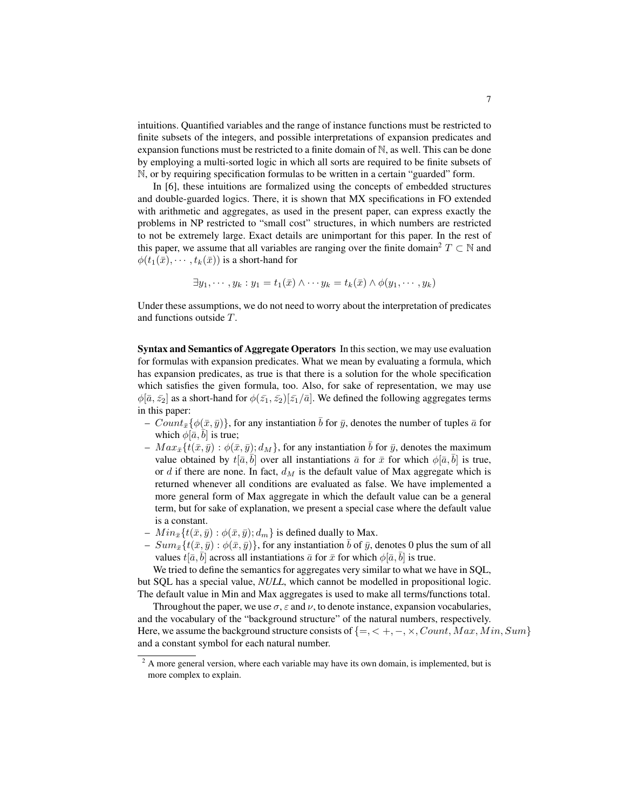intuitions. Quantified variables and the range of instance functions must be restricted to finite subsets of the integers, and possible interpretations of expansion predicates and expansion functions must be restricted to a finite domain of N, as well. This can be done by employing a multi-sorted logic in which all sorts are required to be finite subsets of N, or by requiring specification formulas to be written in a certain "guarded" form.

In [6], these intuitions are formalized using the concepts of embedded structures and double-guarded logics. There, it is shown that MX specifications in FO extended with arithmetic and aggregates, as used in the present paper, can express exactly the problems in NP restricted to "small cost" structures, in which numbers are restricted to not be extremely large. Exact details are unimportant for this paper. In the rest of this paper, we assume that all variables are ranging over the finite domain<sup>2</sup>  $T \subset \mathbb{N}$  and  $\phi(t_1(\bar{x}), \cdots, t_k(\bar{x}))$  is a short-hand for

$$
\exists y_1, \cdots, y_k : y_1 = t_1(\bar{x}) \land \cdots y_k = t_k(\bar{x}) \land \phi(y_1, \cdots, y_k)
$$

Under these assumptions, we do not need to worry about the interpretation of predicates and functions outside T.

Syntax and Semantics of Aggregate Operators In this section, we may use evaluation for formulas with expansion predicates. What we mean by evaluating a formula, which has expansion predicates, as true is that there is a solution for the whole specification which satisfies the given formula, too. Also, for sake of representation, we may use  $\phi[\bar{a}, \bar{z_2}]$  as a short-hand for  $\phi(\bar{z_1}, \bar{z_2})[\bar{z_1}/\bar{a}]$ . We defined the following aggregates terms in this paper:

- $Count_{\bar{x}}\{\phi(\bar{x}, \bar{y})\}\text{, for any instantiation } \bar{b} \text{ for } \bar{y}\text{, denotes the number of tuples } \bar{a} \text{ for }$ which  $\phi[\bar{a}, b]$  is true;
- $Max_{\bar{x}} {t(\bar{x}, \bar{y}) : \phi(\bar{x}, \bar{y}); d_M}$ , for any instantiation  $\bar{b}$  for  $\bar{y}$ , denotes the maximum value obtained by  $t[\bar{a}, \bar{b}]$  over all instantiations  $\bar{a}$  for  $\bar{x}$  for which  $\phi[\bar{a}, \bar{b}]$  is true, or d if there are none. In fact,  $d_M$  is the default value of Max aggregate which is returned whenever all conditions are evaluated as false. We have implemented a more general form of Max aggregate in which the default value can be a general term, but for sake of explanation, we present a special case where the default value is a constant.
- $Min_{\bar{x}}\{t(\bar{x}, \bar{y}) : \phi(\bar{x}, \bar{y}); d_m\}$  is defined dually to Max.
- $Sum_{\bar{x}}\{t(\bar{x}, \bar{y}) : \phi(\bar{x}, \bar{y})\}$ , for any instantiation  $\bar{b}$  of  $\bar{y}$ , denotes 0 plus the sum of all values  $t[\bar{a}, \bar{b}]$  across all instantiations  $\bar{a}$  for  $\bar{x}$  for which  $\phi[\bar{a}, \bar{b}]$  is true.

We tried to define the semantics for aggregates very similar to what we have in SQL, but SQL has a special value, *NULL*, which cannot be modelled in propositional logic. The default value in Min and Max aggregates is used to make all terms/functions total.

Throughout the paper, we use  $\sigma$ ,  $\varepsilon$  and  $\nu$ , to denote instance, expansion vocabularies, and the vocabulary of the "background structure" of the natural numbers, respectively. Here, we assume the background structure consists of  $\{ =, < +, -, \times, Count, Max, Min, Sum\}$ and a constant symbol for each natural number.

 $2 \text{ A more general version, where each variable may have its own domain, is implemented, but is}$ more complex to explain.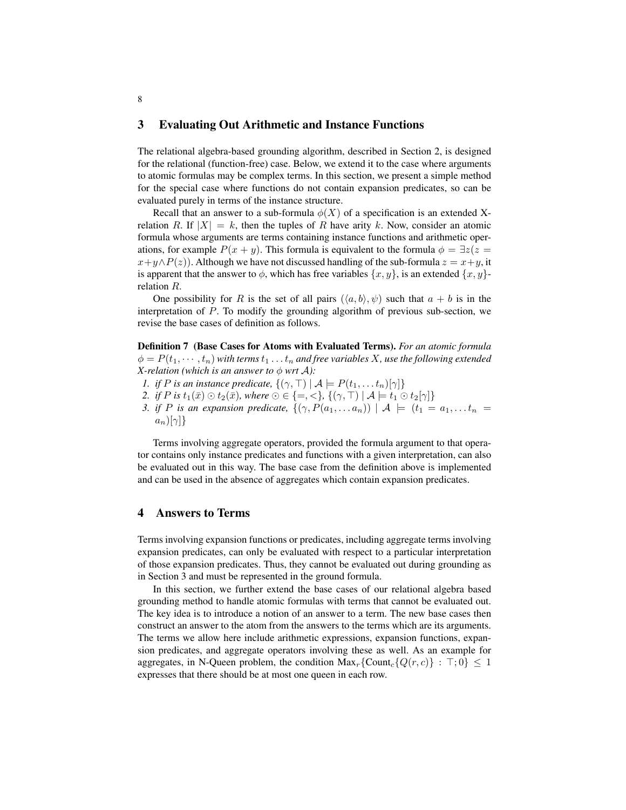### 3 Evaluating Out Arithmetic and Instance Functions

The relational algebra-based grounding algorithm, described in Section 2, is designed for the relational (function-free) case. Below, we extend it to the case where arguments to atomic formulas may be complex terms. In this section, we present a simple method for the special case where functions do not contain expansion predicates, so can be evaluated purely in terms of the instance structure.

Recall that an answer to a sub-formula  $\phi(X)$  of a specification is an extended Xrelation R. If  $|X| = k$ , then the tuples of R have arity k. Now, consider an atomic formula whose arguments are terms containing instance functions and arithmetic operations, for example  $P(x + y)$ . This formula is equivalent to the formula  $\phi = \exists z(z =$  $x+y\wedge P(z)$ ). Although we have not discussed handling of the sub-formula  $z = x+y$ , it is apparent that the answer to  $\phi$ , which has free variables  $\{x, y\}$ , is an extended  $\{x, y\}$ relation R.

One possibility for R is the set of all pairs  $(\langle a, b \rangle, \psi)$  such that  $a + b$  is in the interpretation of P. To modify the grounding algorithm of previous sub-section, we revise the base cases of definition as follows.

Definition 7 (Base Cases for Atoms with Evaluated Terms). *For an atomic formula*  $\phi = P(t_1, \dots, t_n)$  with terms  $t_1 \dots t_n$  and free variables X, use the following extended *X*-relation (which is an answer to  $\phi$  wrt  $\mathcal{A}$ ):

- *1. if P* is an instance predicate,  $\{(\gamma, \top) | \mathcal{A} \models P(t_1, \dots t_n)[\gamma] \}$
- 2. *if P is*  $t_1(\bar{x}) \odot t_2(\bar{x})$ *, where*  $\odot \in \{=, <\}, \{(\gamma, \top) \mid A \models t_1 \odot t_2[\gamma]\}$
- *3. if P* is an expansion predicate,  $\{(\gamma, P(a_1, \ldots a_n)) \mid A \models (t_1 = a_1, \ldots t_n = a_n)\}$  $a_n$ )[ $\gamma$ ]}

Terms involving aggregate operators, provided the formula argument to that operator contains only instance predicates and functions with a given interpretation, can also be evaluated out in this way. The base case from the definition above is implemented and can be used in the absence of aggregates which contain expansion predicates.

## 4 Answers to Terms

Terms involving expansion functions or predicates, including aggregate terms involving expansion predicates, can only be evaluated with respect to a particular interpretation of those expansion predicates. Thus, they cannot be evaluated out during grounding as in Section 3 and must be represented in the ground formula.

In this section, we further extend the base cases of our relational algebra based grounding method to handle atomic formulas with terms that cannot be evaluated out. The key idea is to introduce a notion of an answer to a term. The new base cases then construct an answer to the atom from the answers to the terms which are its arguments. The terms we allow here include arithmetic expressions, expansion functions, expansion predicates, and aggregate operators involving these as well. As an example for aggregates, in N-Queen problem, the condition  $\text{Max}_r$ {Count<sub>c</sub>{ $Q(r, c)$ } :  $\top$ ; 0}  $\leq 1$ expresses that there should be at most one queen in each row.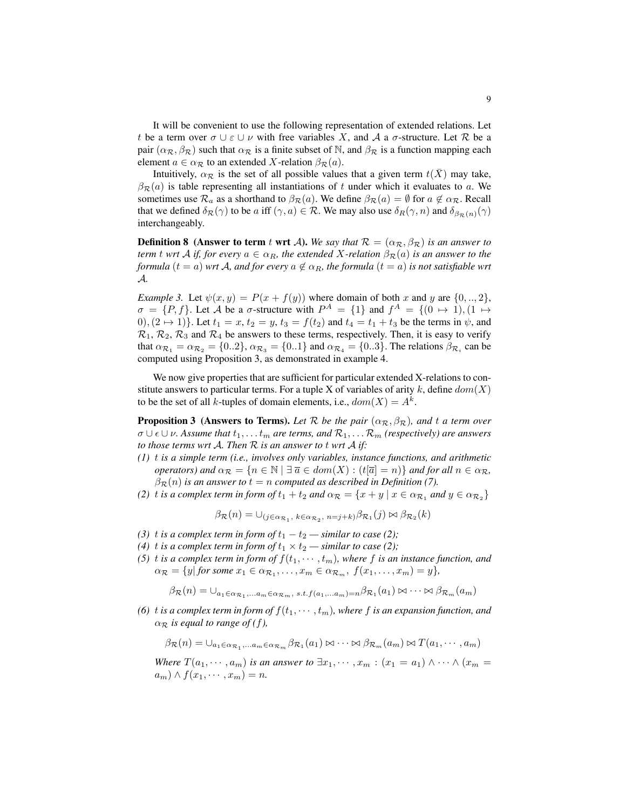It will be convenient to use the following representation of extended relations. Let t be a term over  $\sigma \cup \varepsilon \cup \nu$  with free variables X, and A a  $\sigma$ -structure. Let R be a pair  $(\alpha_{\mathcal{R}}, \beta_{\mathcal{R}})$  such that  $\alpha_{\mathcal{R}}$  is a finite subset of N, and  $\beta_{\mathcal{R}}$  is a function mapping each element  $a \in \alpha_{\mathcal{R}}$  to an extended X-relation  $\beta_{\mathcal{R}}(a)$ .

Intuitively,  $\alpha_{\mathcal{R}}$  is the set of all possible values that a given term  $t(\bar{X})$  may take,  $\beta_{\mathcal{R}}(a)$  is table representing all instantiations of t under which it evaluates to a. We sometimes use  $\mathcal{R}_a$  as a shorthand to  $\beta_{\mathcal{R}}(a)$ . We define  $\beta_{\mathcal{R}}(a) = \emptyset$  for  $a \notin \alpha_{\mathcal{R}}$ . Recall that we defined  $\delta_{\mathcal{R}}(\gamma)$  to be a iff  $(\gamma, a) \in \mathcal{R}$ . We may also use  $\delta_R(\gamma, n)$  and  $\delta_{\beta_{\mathcal{R}}(n)}(\gamma)$ interchangeably.

**Definition 8** (Answer to term t wrt A). We say that  $\mathcal{R} = (\alpha_{\mathcal{R}}, \beta_{\mathcal{R}})$  is an answer to *term* t *wrt* A *if, for every*  $a \in \alpha_R$ *, the extended* X-relation  $\beta_R(a)$  *is an answer to the formula*  $(t = a)$  *wrt* A, and for every  $a \notin \alpha_R$ , the formula  $(t = a)$  is not satisfiable wrt A*.*

*Example 3.* Let  $\psi(x, y) = P(x + f(y))$  where domain of both x and y are  $\{0, ..., 2\}$ ,  $\sigma = \{P, f\}$ . Let A be a  $\sigma$ -structure with  $P^A = \{1\}$  and  $f^A = \{(0 \mapsto 1), (1 \mapsto$ 0),  $(2 \mapsto 1)$ . Let  $t_1 = x$ ,  $t_2 = y$ ,  $t_3 = f(t_2)$  and  $t_4 = t_1 + t_3$  be the terms in  $\psi$ , and  $\mathcal{R}_1$ ,  $\mathcal{R}_2$ ,  $\mathcal{R}_3$  and  $\mathcal{R}_4$  be answers to these terms, respectively. Then, it is easy to verify that  $\alpha_{\mathcal{R}_1} = \alpha_{\mathcal{R}_2} = \{0..2\}, \alpha_{\mathcal{R}_3} = \{0..1\}$  and  $\alpha_{\mathcal{R}_4} = \{0..3\}.$  The relations  $\beta_{\mathcal{R}_i}$  can be computed using Proposition 3, as demonstrated in example 4.

We now give properties that are sufficient for particular extended X-relations to constitute answers to particular terms. For a tuple X of variables of arity k, define  $dom(X)$ to be the set of all k-tuples of domain elements, i.e.,  $dom(X) = A^k$ .

**Proposition 3** (Answers to Terms). Let  $\mathcal{R}$  be the pair  $(\alpha_{\mathcal{R}}, \beta_{\mathcal{R}})$ , and t a term over  $\sigma \cup \epsilon \cup \nu$ . Assume that  $t_1, \ldots t_m$  are terms, and  $\mathcal{R}_1, \ldots \mathcal{R}_m$  *(respectively)* are answers *to those terms wrt* A*. Then* R *is an answer to* t *wrt* A *if:*

- *(1)* t *is a simple term (i.e., involves only variables, instance functions, and arithmetic operators)* and  $\alpha_{\mathcal{R}} = \{n \in \mathbb{N} \mid \exists \overline{a} \in dom(X) : (t|\overline{a}| = n)\}\$  and for all  $n \in \alpha_{\mathcal{R}}$ ,  $\beta_{\mathcal{R}}(n)$  *is an answer to*  $t = n$  *computed as described in Definition (7).*
- *(2) t is a complex term in form of*  $t_1 + t_2$  *and*  $\alpha_{\mathcal{R}} = \{x + y \mid x \in \alpha_{\mathcal{R}_1} \text{ and } y \in \alpha_{\mathcal{R}_2}\}$

$$
\beta_{\mathcal{R}}(n) = \cup_{(j \in \alpha_{\mathcal{R}_1}, k \in \alpha_{\mathcal{R}_2}, n = j + k)} \beta_{\mathcal{R}_1}(j) \bowtie \beta_{\mathcal{R}_2}(k)
$$

- *(3) t is a complex term in form of*  $t_1 t_2$  *similar to case (2)*;
- *(4)* t *is a complex term in form of*  $t_1 \times t_2$  *similar to case (2)*;
- (5) t *is a complex term in form of*  $f(t_1, \dots, t_m)$ , where f *is an instance function, and*  $\alpha_{\mathcal{R}} = \{y \vert \text{ for some } x_1 \in \alpha_{\mathcal{R}_1}, \ldots, x_m \in \alpha_{\mathcal{R}_m}, \text{ } f(x_1, \ldots, x_m) = y\},\$

$$
\beta_{\mathcal{R}}(n) = \bigcup_{a_1 \in \alpha_{\mathcal{R}_1}, \dots, a_m \in \alpha_{\mathcal{R}_m}, s.t. f(a_1, \dots, a_m) = n} \beta_{\mathcal{R}_1}(a_1) \bowtie \dots \bowtie \beta_{\mathcal{R}_m}(a_m)
$$

*(6)* t *is a complex term in form of*  $f(t_1, \dots, t_m)$ *, where* f *is an expansion function, and*  $\alpha_{\mathcal{R}}$  *is equal to range of (f),* 

$$
\beta_{\mathcal{R}}(n) = \cup_{a_1 \in \alpha_{\mathcal{R}_1}, \dots, a_m \in \alpha_{\mathcal{R}_m}} \beta_{\mathcal{R}_1}(a_1) \bowtie \dots \bowtie \beta_{\mathcal{R}_m}(a_m) \bowtie T(a_1, \dots, a_m)
$$

*Where*  $T(a_1, \dots, a_m)$  *is an answer to*  $\exists x_1, \dots, x_m : (x_1 = a_1) \wedge \dots \wedge (x_m = a_m)$  $(a_m) \wedge f(x_1, \dots, x_m) = n.$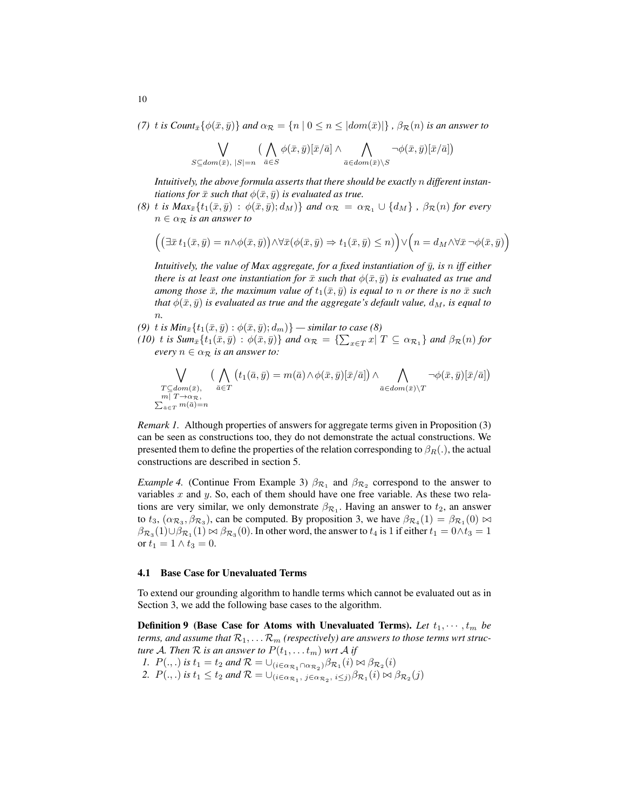*(7)* t *is Count*<sub> $\bar{x}$ </sub> $\{\phi(\bar{x}, \bar{y})\}$  *and*  $\alpha_{\mathcal{R}} = \{n \mid 0 \leq n \leq |dom(\bar{x})|\}$ ,  $\beta_{\mathcal{R}}(n)$  *is an answer to* 

$$
\bigvee_{S \subseteq dom(\bar{x}), |S|=n} \big(\bigwedge_{\bar{a} \in S} \phi(\bar{x}, \bar{y})[\bar{x}/\bar{a}] \land \bigwedge_{\bar{a} \in dom(\bar{x}) \setminus S} \neg \phi(\bar{x}, \bar{y})[\bar{x}/\bar{a}]\big)
$$

*Intuitively, the above formula asserts that there should be exactly* n *different instantiations for*  $\bar{x}$  *such that*  $\phi(\bar{x}, \bar{y})$  *is evaluated as true.* 

*(8)* t *is Max*<sub> $\bar{x}$ </sub> $\{t_1(\bar{x}, \bar{y}) : \phi(\bar{x}, \bar{y}); d_M\}$  *and*  $\alpha_{\mathcal{R}} = \alpha_{\mathcal{R}_1} \cup \{d_M\}$ ,  $\beta_{\mathcal{R}}(n)$  *for every*  $n \in \alpha_{\mathcal{R}}$  *is an answer to* 

$$
\left( \left( \exists \bar{x} t_1(\bar{x}, \bar{y}) = n \land \phi(\bar{x}, \bar{y}) \right) \land \forall \bar{x} (\phi(\bar{x}, \bar{y}) \Rightarrow t_1(\bar{x}, \bar{y}) \le n) \right) \lor \left( n = d_M \land \forall \bar{x} \neg \phi(\bar{x}, \bar{y}) \right)
$$

*Intuitively, the value of Max aggregate, for a fixed instantiation of*  $\bar{y}$ *, is n iff either there is at least one instantiation for*  $\bar{x}$  *such that*  $\phi(\bar{x}, \bar{y})$  *is evaluated as true and among those*  $\bar{x}$ *, the maximum value of*  $t_1(\bar{x}, \bar{y})$  *is equal to* n *or there is no*  $\bar{x}$  *such that*  $\phi(\bar{x}, \bar{y})$  *is evaluated as true and the aggregate's default value,*  $d_M$ *, is equal to* n*.*

- *(9)* t *is Min*<sub> $\bar{x}$ </sub>{ $t_1(\bar{x}, \bar{y})$  :  $\phi(\bar{x}, \bar{y}); d_m$ }  *similar to case (8)*
- $(10)$  t is Sum $_{\bar{x}}\{t_1(\bar{x},\bar{y}): \phi(\bar{x},\bar{y})\}$  and  $\alpha_{\mathcal{R}} = \{\sum_{x\in T} x|\ T \subseteq \alpha_{\mathcal{R}_1}\}$  and  $\beta_{\mathcal{R}}(n)$  for *every*  $n \in \alpha_{\mathcal{R}}$  *is an answer to:*

$$
\bigvee_{\substack{T \subseteq dom(\bar{x}), \\ m | T \to \alpha_{\overline{\mathcal{R}}}, \\ \sum_{\bar{a} \in T} m(\bar{a}) = n}} \left( \bigwedge_{\bar{a} \in T} \left( t_1(\bar{a}, \bar{y}) = m(\bar{a}) \wedge \phi(\bar{x}, \bar{y})[\bar{x}/\bar{a}] \right) \wedge \bigwedge_{\bar{a} \in dom(\bar{x}) \backslash T} \neg \phi(\bar{x}, \bar{y})[\bar{x}/\bar{a}] \right)
$$

*Remark 1.* Although properties of answers for aggregate terms given in Proposition (3) can be seen as constructions too, they do not demonstrate the actual constructions. We presented them to define the properties of the relation corresponding to  $\beta_R(.)$ , the actual constructions are described in section 5.

*Example 4.* (Continue From Example 3)  $\beta_{\mathcal{R}_1}$  and  $\beta_{\mathcal{R}_2}$  correspond to the answer to variables  $x$  and  $y$ . So, each of them should have one free variable. As these two relations are very similar, we only demonstrate  $\beta_{\mathcal{R}_1}$ . Having an answer to  $t_2$ , an answer to  $t_3$ ,  $(\alpha_{\mathcal{R}_3}, \beta_{\mathcal{R}_3})$ , can be computed. By proposition 3, we have  $\beta_{\mathcal{R}_4}(1) = \beta_{\mathcal{R}_1}(0) \bowtie$  $\beta_{\mathcal{R}_3}(1)\cup\beta_{\mathcal{R}_1}(1)\bowtie\beta_{\mathcal{R}_3}(0).$  In other word, the answer to  $t_4$  is 1 if either  $t_1=0\wedge t_3=1$ or  $t_1 = 1 \wedge t_3 = 0$ .

#### 4.1 Base Case for Unevaluated Terms

To extend our grounding algorithm to handle terms which cannot be evaluated out as in Section 3, we add the following base cases to the algorithm.

**Definition 9** (Base Case for Atoms with Unevaluated Terms). Let  $t_1, \dots, t_m$  be *terms, and assume that*  $\mathcal{R}_1, \ldots \mathcal{R}_m$  *(respectively) are answers to those terms wrt structure* A. Then R is an answer to  $P(t_1, \ldots t_m)$  wrt A if *1.*  $P(.,.)$  *is*  $t_1 = t_2$  *and*  $\mathcal{R} = \bigcup_{(i \in \alpha_{\mathcal{R}_1} \cap \alpha_{\mathcal{R}_2})} \beta_{\mathcal{R}_1}(i) \bowtie \beta_{\mathcal{R}_2}(i)$ 2.  $P(.,.)$  *is*  $t_1 \le t_2$  *and*  $\mathcal{R} = \bigcup_{(i \in \alpha_{\mathcal{R}_1}, j \in \alpha_{\mathcal{R}_2}, i \le j)} \beta_{\mathcal{R}_1}(i) \bowtie \beta_{\mathcal{R}_2}(j)$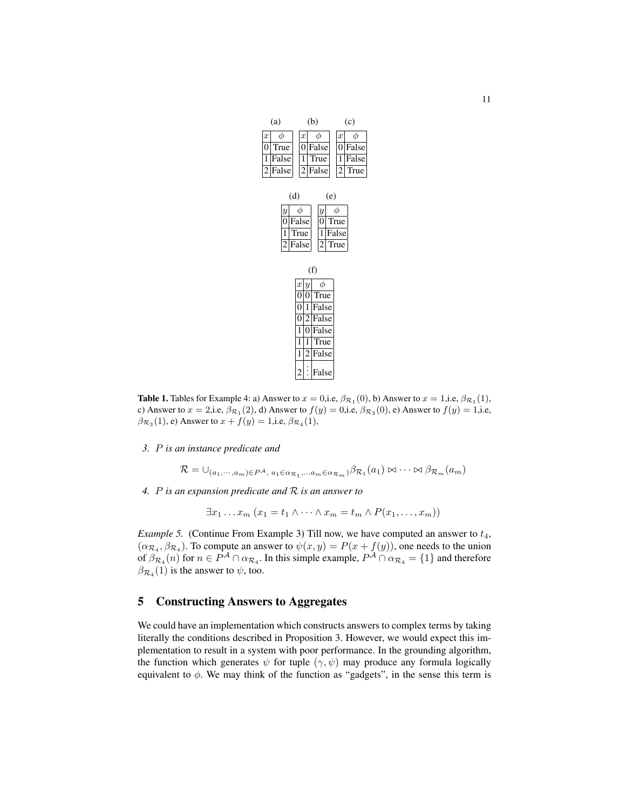| (a)                                          | (b)                                                                                | (c)                               |
|----------------------------------------------|------------------------------------------------------------------------------------|-----------------------------------|
| $\phi$<br>$\boldsymbol{x}$                   | $\phi$<br>$\boldsymbol{x}$                                                         | $\phi$<br>$\boldsymbol{x}$        |
| True<br>0                                    | False<br>$\boldsymbol{0}$                                                          | False<br>0                        |
| $\mathbf{1}$<br>False                        | True<br>1                                                                          | False<br>1                        |
| $\overline{2}$<br>False                      | $\overline{2}$<br>False                                                            | $\overline{\mathbf{c}}$<br>True   |
| $\boldsymbol{y}$<br>0<br>1<br>$\overline{c}$ | (d)<br>φ<br>$\boldsymbol{y}$<br>False<br>0<br>True<br>1<br>False<br>$\overline{c}$ | (e)<br>φ<br>True<br>False<br>True |
|                                              | (f)                                                                                |                                   |
|                                              | φ<br>x y                                                                           |                                   |
|                                              | True<br>0<br>0                                                                     |                                   |
|                                              | False<br>0<br>1                                                                    |                                   |
|                                              | False<br>0<br>2                                                                    |                                   |
|                                              | False<br>1<br>0                                                                    |                                   |
|                                              | True<br>1<br>1                                                                     |                                   |

**Table 1.** Tables for Example 4: a) Answer to  $x = 0$ , i.e,  $\beta_{\mathcal{R}_1}(0)$ , b) Answer to  $x = 1$ , i.e,  $\beta_{\mathcal{R}_1}(1)$ , c) Answer to  $x = 2$ ,i.e,  $\beta_{\mathcal{R}_1}(2)$ , d) Answer to  $f(y) = 0$ ,i.e,  $\beta_{\mathcal{R}_3}(0)$ , e) Answer to  $f(y) = 1$ ,i.e,  $\beta_{\mathcal{R}_3}(1)$ , e) Answer to  $x + f(y) = 1$ ,i.e,  $\beta_{\mathcal{R}_4}(1)$ ,

2 . . . False

 $|2|$ False

*3.* P *is an instance predicate and*

 $\mathcal{R} = \bigcup_{(a_1, \dots, a_m) \in P^{\mathcal{A}}, a_1 \in \alpha_{\mathcal{R}_1}, \dots, a_m \in \alpha_{\mathcal{R}_m}} \beta_{\mathcal{R}_1}(a_1) \bowtie \dots \bowtie \beta_{\mathcal{R}_m}(a_m)$ 

*4.* P *is an expansion predicate and* R *is an answer to*

 $\exists x_1 \ldots x_m$   $(x_1 = t_1 \wedge \cdots \wedge x_m = t_m \wedge P(x_1, \ldots, x_m))$ 

*Example 5.* (Continue From Example 3) Till now, we have computed an answer to  $t_4$ ,  $(\alpha_{\mathcal{R}_4}, \beta_{\mathcal{R}_4})$ . To compute an answer to  $\psi(x, y) = P(x + f(y))$ , one needs to the union of  $\beta_{\mathcal{R}_4}(n)$  for  $n \in P^{\mathcal{A}} \cap \alpha_{\mathcal{R}_4}$ . In this simple example,  $P^{\mathcal{A}} \cap \alpha_{\mathcal{R}_4} = \{1\}$  and therefore  $\beta_{\mathcal{R}_4}(1)$  is the answer to  $\psi$ , too.

## 5 Constructing Answers to Aggregates

We could have an implementation which constructs answers to complex terms by taking literally the conditions described in Proposition 3. However, we would expect this implementation to result in a system with poor performance. In the grounding algorithm, the function which generates  $\psi$  for tuple  $(\gamma, \psi)$  may produce any formula logically equivalent to  $\phi$ . We may think of the function as "gadgets", in the sense this term is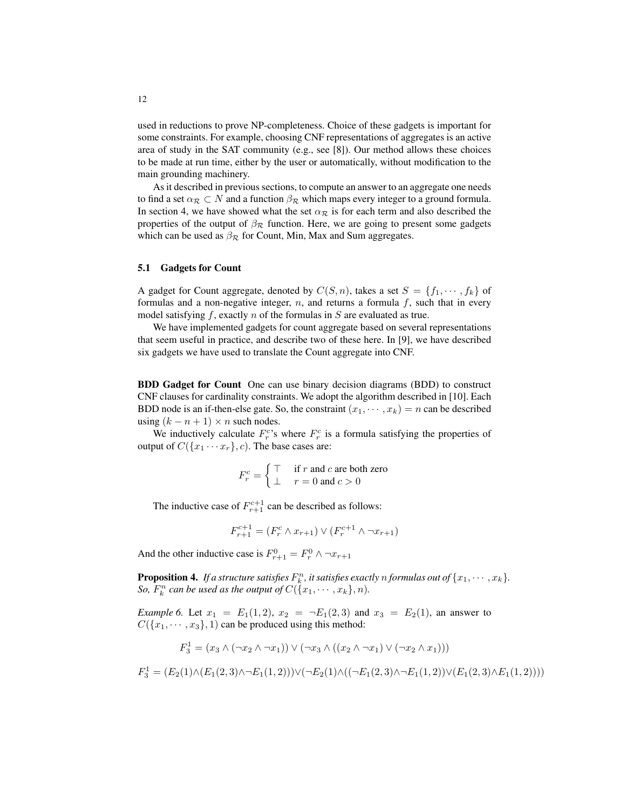used in reductions to prove NP-completeness. Choice of these gadgets is important for some constraints. For example, choosing CNF representations of aggregates is an active area of study in the SAT community (e.g., see [8]). Our method allows these choices to be made at run time, either by the user or automatically, without modification to the main grounding machinery.

As it described in previous sections, to compute an answer to an aggregate one needs to find a set  $\alpha_{\mathcal{R}} \subset N$  and a function  $\beta_{\mathcal{R}}$  which maps every integer to a ground formula. In section 4, we have showed what the set  $\alpha_{\mathcal{R}}$  is for each term and also described the properties of the output of  $\beta_{\mathcal{R}}$  function. Here, we are going to present some gadgets which can be used as  $\beta_{\mathcal{R}}$  for Count, Min, Max and Sum aggregates.

#### 5.1 Gadgets for Count

A gadget for Count aggregate, denoted by  $C(S, n)$ , takes a set  $S = \{f_1, \dots, f_k\}$  of formulas and a non-negative integer,  $n$ , and returns a formula  $f$ , such that in every model satisfying  $f$ , exactly  $n$  of the formulas in  $S$  are evaluated as true.

We have implemented gadgets for count aggregate based on several representations that seem useful in practice, and describe two of these here. In [9], we have described six gadgets we have used to translate the Count aggregate into CNF.

BDD Gadget for Count One can use binary decision diagrams (BDD) to construct CNF clauses for cardinality constraints. We adopt the algorithm described in [10]. Each BDD node is an if-then-else gate. So, the constraint  $(x_1, \dots, x_k) = n$  can be described using  $(k - n + 1) \times n$  such nodes.

We inductively calculate  $F_r^c$ 's where  $F_r^c$  is a formula satisfying the properties of output of  $C({x_1 \cdots x_r}, c)$ . The base cases are:

$$
F_r^c = \begin{cases} \top & \text{if } r \text{ and } c \text{ are both zero} \\ \bot & r = 0 \text{ and } c > 0 \end{cases}
$$

The inductive case of  $F_{r+1}^{c+1}$  can be described as follows:

$$
F_{r+1}^{c+1} = (F_r^c \wedge x_{r+1}) \vee (F_r^{c+1} \wedge \neg x_{r+1})
$$

And the other inductive case is  $F_{r+1}^0 = F_r^0 \wedge \neg x_{r+1}$ 

**Proposition 4.** If a structure satisfies  $F_k^n$ , it satisfies exactly n formulas out of  $\{x_1, \dots, x_k\}$ . *So,*  $F_k^n$  can be used as the output of  $C(\lbrace x_1, \cdots, x_k \rbrace, n)$ .

*Example 6.* Let  $x_1 = E_1(1, 2), x_2 = \neg E_1(2, 3)$  and  $x_3 = E_2(1)$ , an answer to  $C({x_1, \dots, x_3}, 1)$  can be produced using this method:

$$
F_3^1 = (x_3 \land (\neg x_2 \land \neg x_1)) \lor (\neg x_3 \land ((x_2 \land \neg x_1) \lor (\neg x_2 \land x_1)))
$$

$$
F_3^1 = (E_2(1) \land (E_1(2,3) \land \neg E_1(1,2))) \lor (\neg E_2(1) \land ((\neg E_1(2,3) \land \neg E_1(1,2)) \lor (E_1(2,3) \land E_1(1,2))))
$$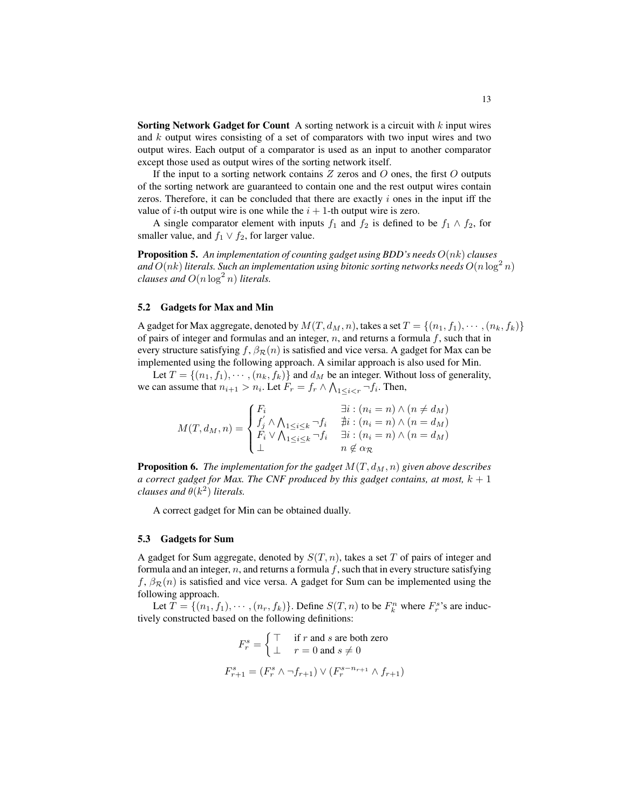**Sorting Network Gadget for Count** A sorting network is a circuit with  $k$  input wires and  $k$  output wires consisting of a set of comparators with two input wires and two output wires. Each output of a comparator is used as an input to another comparator except those used as output wires of the sorting network itself.

If the input to a sorting network contains  $Z$  zeros and  $O$  ones, the first  $O$  outputs of the sorting network are guaranteed to contain one and the rest output wires contain zeros. Therefore, it can be concluded that there are exactly  $i$  ones in the input iff the value of *i*-th output wire is one while the  $i + 1$ -th output wire is zero.

A single comparator element with inputs  $f_1$  and  $f_2$  is defined to be  $f_1 \wedge f_2$ , for smaller value, and  $f_1 \vee f_2$ , for larger value.

Proposition 5. *An implementation of counting gadget using BDD's needs* O(nk) *clauses* and  $O(nk)$  literals. Such an implementation using bitonic sorting networks needs  $O(n\log^2 n)$ *clauses and*  $O(n \log^2 n)$  *literals.* 

#### 5.2 Gadgets for Max and Min

A gadget for Max aggregate, denoted by  $M(T, d_M, n)$ , takes a set  $T = \{(n_1, f_1), \cdots, (n_k, f_k)\}\$ of pairs of integer and formulas and an integer,  $n$ , and returns a formula  $f$ , such that in every structure satisfying f,  $\beta_{\mathcal{R}}(n)$  is satisfied and vice versa. A gadget for Max can be implemented using the following approach. A similar approach is also used for Min.

Let  $T = \{(n_1, f_1), \cdots, (n_k, f_k)\}\$  and  $d_M$  be an integer. Without loss of generality, we can assume that  $n_{i+1} > n_i$ . Let  $F_r = f_r \wedge \bigwedge_{1 \leq i < r} \neg f_i$ . Then,

$$
M(T, d_M, n) = \begin{cases} F_i & \exists i : (n_i = n) \land (n \neq d_M) \\ f'_j \land \bigwedge_{1 \leq i \leq k} \neg f_i & \nexists i : (n_i = n) \land (n = d_M) \\ F_i \lor \bigwedge_{1 \leq i \leq k} \neg f_i & \exists i : (n_i = n) \land (n = d_M) \\ \bot & n \notin \alpha_{\mathcal{R}} \end{cases}
$$

**Proposition 6.** *The implementation for the gadget*  $M(T, d_M, n)$  *given above describes a correct gadget for Max. The CNF produced by this gadget contains, at most,*  $k + 1$ *clauses and*  $\theta(k^2)$  *literals.* 

A correct gadget for Min can be obtained dually.

#### 5.3 Gadgets for Sum

A gadget for Sum aggregate, denoted by  $S(T, n)$ , takes a set T of pairs of integer and formula and an integer,  $n$ , and returns a formula f, such that in every structure satisfying f,  $\beta_{\mathcal{R}}(n)$  is satisfied and vice versa. A gadget for Sum can be implemented using the following approach.

Let  $T = \{(n_1, f_1), \cdots, (n_r, f_k)\}\)$ . Define  $S(T, n)$  to be  $F_k^n$  where  $F_r^{s}$ 's are inductively constructed based on the following definitions:

$$
F_r^s = \begin{cases} \top & \text{if } r \text{ and } s \text{ are both zero} \\ \bot & r = 0 \text{ and } s \neq 0 \end{cases}
$$

$$
F_{r+1}^s = (F_r^s \land \neg f_{r+1}) \lor (F_r^{s-n_{r+1}} \land f_{r+1})
$$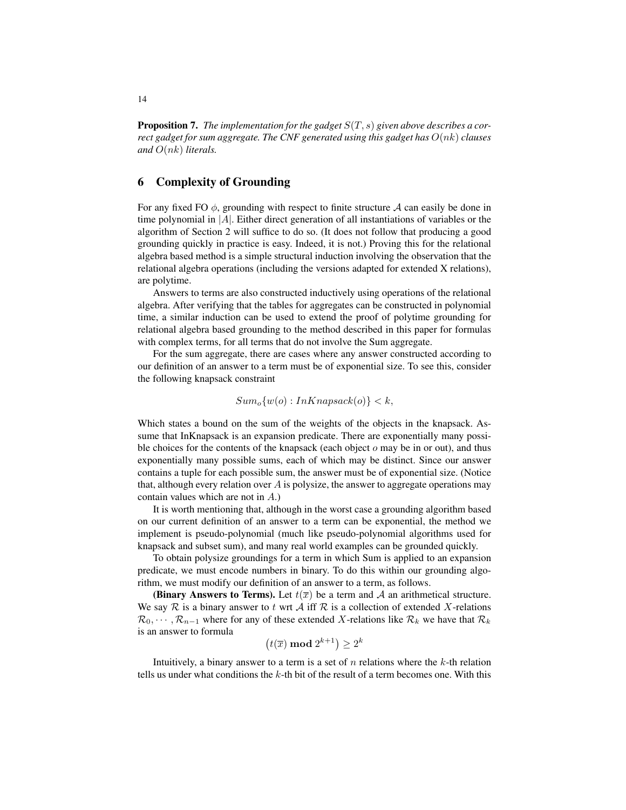Proposition 7. *The implementation for the gadget* S(T, s) *given above describes a correct gadget for sum aggregate. The CNF generated using this gadget has* O(nk) *clauses and* O(nk) *literals.*

## 6 Complexity of Grounding

For any fixed FO  $\phi$ , grounding with respect to finite structure A can easily be done in time polynomial in  $|A|$ . Either direct generation of all instantiations of variables or the algorithm of Section 2 will suffice to do so. (It does not follow that producing a good grounding quickly in practice is easy. Indeed, it is not.) Proving this for the relational algebra based method is a simple structural induction involving the observation that the relational algebra operations (including the versions adapted for extended X relations), are polytime.

Answers to terms are also constructed inductively using operations of the relational algebra. After verifying that the tables for aggregates can be constructed in polynomial time, a similar induction can be used to extend the proof of polytime grounding for relational algebra based grounding to the method described in this paper for formulas with complex terms, for all terms that do not involve the Sum aggregate.

For the sum aggregate, there are cases where any answer constructed according to our definition of an answer to a term must be of exponential size. To see this, consider the following knapsack constraint

$$
Sum_o\{w(o) : InKnapsack(o)\} < k,
$$

Which states a bound on the sum of the weights of the objects in the knapsack. Assume that InKnapsack is an expansion predicate. There are exponentially many possible choices for the contents of the knapsack (each object  $\sigma$  may be in or out), and thus exponentially many possible sums, each of which may be distinct. Since our answer contains a tuple for each possible sum, the answer must be of exponential size. (Notice that, although every relation over A is polysize, the answer to aggregate operations may contain values which are not in A.)

It is worth mentioning that, although in the worst case a grounding algorithm based on our current definition of an answer to a term can be exponential, the method we implement is pseudo-polynomial (much like pseudo-polynomial algorithms used for knapsack and subset sum), and many real world examples can be grounded quickly.

To obtain polysize groundings for a term in which Sum is applied to an expansion predicate, we must encode numbers in binary. To do this within our grounding algorithm, we must modify our definition of an answer to a term, as follows.

(Binary Answers to Terms). Let  $t(\overline{x})$  be a term and A an arithmetical structure. We say  $\mathcal R$  is a binary answer to t wrt  $\mathcal A$  iff  $\mathcal R$  is a collection of extended X-relations  $\mathcal{R}_0, \cdots, \mathcal{R}_{n-1}$  where for any of these extended X-relations like  $\mathcal{R}_k$  we have that  $\mathcal{R}_k$ is an answer to formula

 $(t(\overline{x}) \mod 2^{k+1}) \geq 2^k$ 

Intuitively, a binary answer to a term is a set of  $n$  relations where the  $k$ -th relation tells us under what conditions the k-th bit of the result of a term becomes one. With this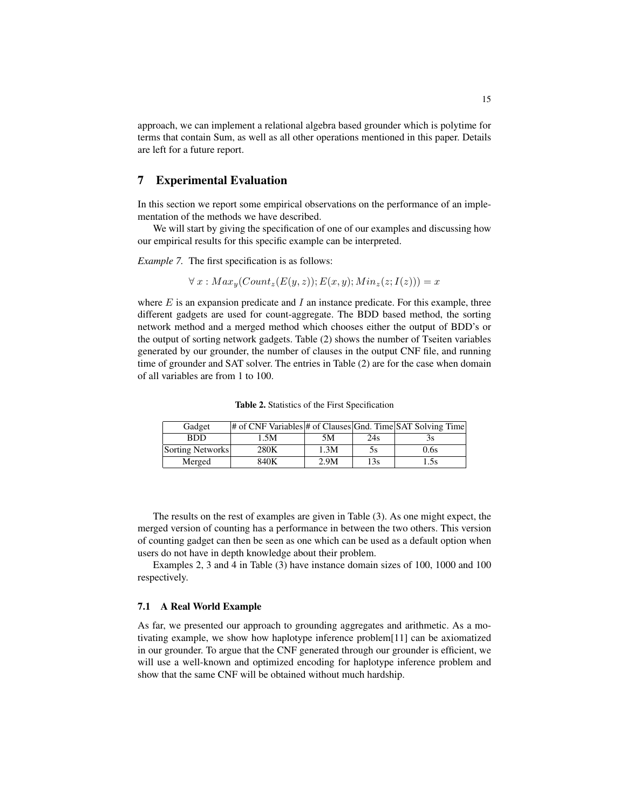approach, we can implement a relational algebra based grounder which is polytime for terms that contain Sum, as well as all other operations mentioned in this paper. Details are left for a future report.

## 7 Experimental Evaluation

In this section we report some empirical observations on the performance of an implementation of the methods we have described.

We will start by giving the specification of one of our examples and discussing how our empirical results for this specific example can be interpreted.

*Example 7.* The first specification is as follows:

$$
\forall x: Max_y(Count_z(E(y, z)); E(x, y); Min_z(z; I(z))) = x
$$

where  $E$  is an expansion predicate and  $I$  an instance predicate. For this example, three different gadgets are used for count-aggregate. The BDD based method, the sorting network method and a merged method which chooses either the output of BDD's or the output of sorting network gadgets. Table (2) shows the number of Tseiten variables generated by our grounder, the number of clauses in the output CNF file, and running time of grounder and SAT solver. The entries in Table (2) are for the case when domain of all variables are from 1 to 100.

Table 2. Statistics of the First Specification

| Gadget           | # of CNF Variables # of Clauses Gnd. Time SAT Solving Time |      |     |      |
|------------------|------------------------------------------------------------|------|-----|------|
| <b>BDD</b>       | 1.5M                                                       | 5M   | 24s | эs   |
| Sorting Networks | 280K                                                       | 1.3M | 5s  | 0.6s |
| Merged           | 840K                                                       | 2.9M | 13s | 1.5s |

The results on the rest of examples are given in Table (3). As one might expect, the merged version of counting has a performance in between the two others. This version of counting gadget can then be seen as one which can be used as a default option when users do not have in depth knowledge about their problem.

Examples 2, 3 and 4 in Table (3) have instance domain sizes of 100, 1000 and 100 respectively.

#### 7.1 A Real World Example

As far, we presented our approach to grounding aggregates and arithmetic. As a motivating example, we show how haplotype inference problem[11] can be axiomatized in our grounder. To argue that the CNF generated through our grounder is efficient, we will use a well-known and optimized encoding for haplotype inference problem and show that the same CNF will be obtained without much hardship.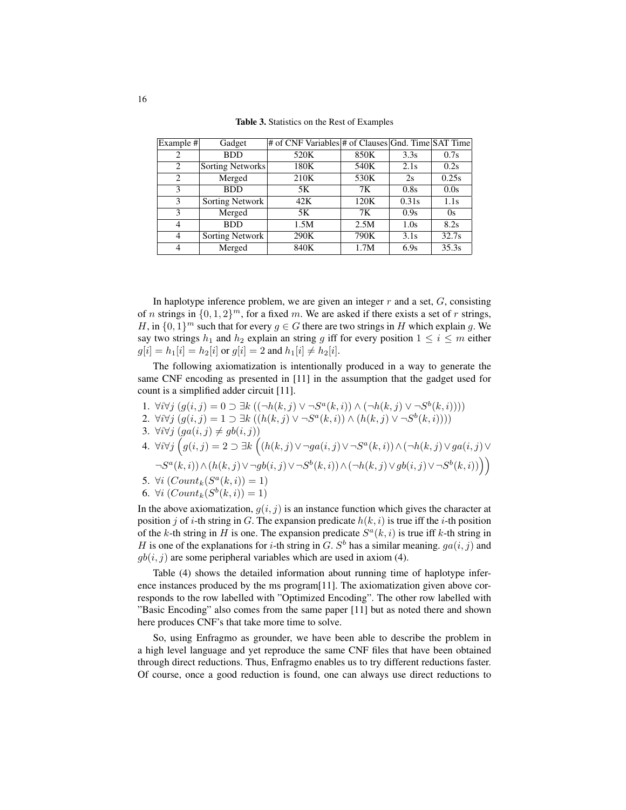Table 3. Statistics on the Rest of Examples

| Example # | Gadget           | # of CNF Variables # of Clauses Gnd. Time SAT Time |      |       |       |
|-----------|------------------|----------------------------------------------------|------|-------|-------|
| 2         | <b>BDD</b>       | 520K                                               | 850K | 3.3s  | 0.7s  |
| 2         | Sorting Networks | 180K                                               | 540K | 2.1s  | 0.2s  |
| 2         | Merged           | 210K                                               | 530K | 2s    | 0.25s |
| 3         | <b>BDD</b>       | 5K                                                 | 7Κ   | 0.8s  | 0.0s  |
| 3         | Sorting Network  | 42K                                                | 120K | 0.31s | 1.1s  |
| 3         | Merged           | 5K                                                 | 7K   | 0.9s  | 0s    |
| 4         | <b>BDD</b>       | 1.5M                                               | 2.5M | 1.0s  | 8.2s  |
| 4         | Sorting Network  | 290K                                               | 790K | 3.1s  | 32.7s |
|           | Merged           | 840K                                               | 1.7M | 6.9s  | 35.3s |

In haplotype inference problem, we are given an integer  $r$  and a set,  $G$ , consisting of n strings in  $\{0, 1, 2\}^m$ , for a fixed m. We are asked if there exists a set of r strings, H, in  $\{0,1\}^m$  such that for every  $g \in G$  there are two strings in H which explain g. We say two strings  $h_1$  and  $h_2$  explain an string g iff for every position  $1 \le i \le m$  either  $g[i] = h_1[i] = h_2[i]$  or  $g[i] = 2$  and  $h_1[i] \neq h_2[i]$ .

The following axiomatization is intentionally produced in a way to generate the same CNF encoding as presented in [11] in the assumption that the gadget used for count is a simplified adder circuit [11].

- 1.  $\forall i \forall j \ (g(i, j) = 0 \supset \exists k \ ((\neg h(k, j) \vee \neg S^a(k, i)) \wedge (\neg h(k, j) \vee \neg S^b(k, i))))$
- 2.  $\forall i \forall j \ (g(i, j) = 1 \supset \exists k \ ((h(k, j) \vee \neg S^a(k, i)) \wedge (h(k, j) \vee \neg S^b(k, i))))$
- 3. ∀*i*∀*j*  $(ga(i, j) \neq gb(i, j))$
- 4.  $\forall i \forall j$   $(g(i, j) = 2 \supset \exists k \left( (h(k, j) \vee \neg ga(i, j) \vee \neg S^a(k, i)) \wedge (\neg h(k, j) \vee ga(i, j) \vee \neg g(j, j)) \right)$  $\neg S^a(k,i)) \wedge (h(k,j) \vee \neg gb(i,j) \vee \neg S^b(k,i)) \wedge (\neg h(k,j) \vee gb(i,j) \vee \neg S^b(k,i)))$
- 5.  $\forall i \ (Count_k(S^a(k, i)) = 1)$
- 6.  $\forall i \ (Count_k(S^b(k, i)) = 1)$

In the above axiomatization,  $g(i, j)$  is an instance function which gives the character at position j of i-th string in G. The expansion predicate  $h(k, i)$  is true iff the i-th position of the k-th string in H is one. The expansion predicate  $S^a(k, i)$  is true iff k-th string in H is one of the explanations for *i*-th string in G. S<sup>b</sup> has a similar meaning.  $ga(i, j)$  and  $gb(i, j)$  are some peripheral variables which are used in axiom (4).

Table (4) shows the detailed information about running time of haplotype inference instances produced by the ms program[11]. The axiomatization given above corresponds to the row labelled with "Optimized Encoding". The other row labelled with "Basic Encoding" also comes from the same paper [11] but as noted there and shown here produces CNF's that take more time to solve.

So, using Enfragmo as grounder, we have been able to describe the problem in a high level language and yet reproduce the same CNF files that have been obtained through direct reductions. Thus, Enfragmo enables us to try different reductions faster. Of course, once a good reduction is found, one can always use direct reductions to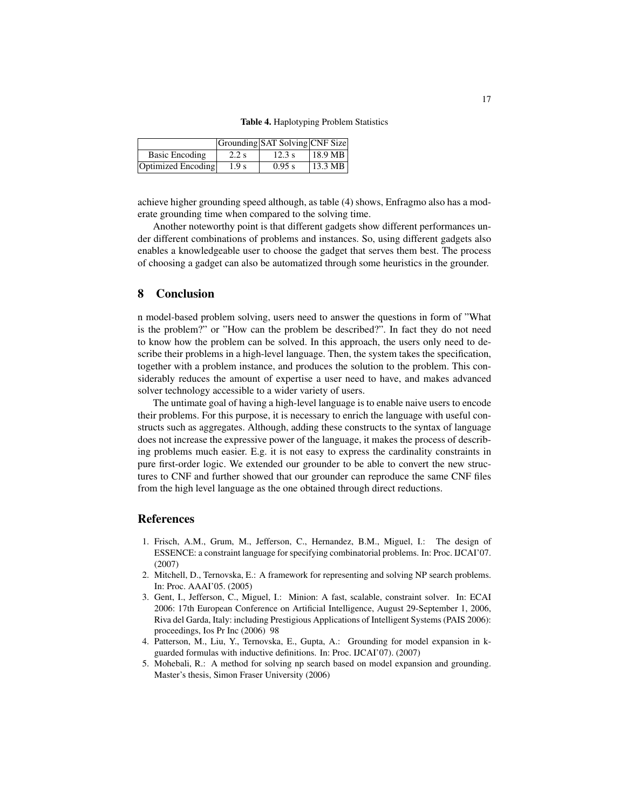Table 4. Haplotyping Problem Statistics

|                    |                  | Grounding SAT Solving CNF Size |                   |
|--------------------|------------------|--------------------------------|-------------------|
| Basic Encoding     | $2.2$ s          | 12.3 s                         | $18.9 \text{ MB}$ |
| Optimized Encoding | 1.9 <sub>s</sub> | 0.95 s                         | $\vert$ 13.3 MB   |

achieve higher grounding speed although, as table (4) shows, Enfragmo also has a moderate grounding time when compared to the solving time.

Another noteworthy point is that different gadgets show different performances under different combinations of problems and instances. So, using different gadgets also enables a knowledgeable user to choose the gadget that serves them best. The process of choosing a gadget can also be automatized through some heuristics in the grounder.

### 8 Conclusion

n model-based problem solving, users need to answer the questions in form of "What is the problem?" or "How can the problem be described?". In fact they do not need to know how the problem can be solved. In this approach, the users only need to describe their problems in a high-level language. Then, the system takes the specification, together with a problem instance, and produces the solution to the problem. This considerably reduces the amount of expertise a user need to have, and makes advanced solver technology accessible to a wider variety of users.

The untimate goal of having a high-level language is to enable naive users to encode their problems. For this purpose, it is necessary to enrich the language with useful constructs such as aggregates. Although, adding these constructs to the syntax of language does not increase the expressive power of the language, it makes the process of describing problems much easier. E.g. it is not easy to express the cardinality constraints in pure first-order logic. We extended our grounder to be able to convert the new structures to CNF and further showed that our grounder can reproduce the same CNF files from the high level language as the one obtained through direct reductions.

#### References

- 1. Frisch, A.M., Grum, M., Jefferson, C., Hernandez, B.M., Miguel, I.: The design of ESSENCE: a constraint language for specifying combinatorial problems. In: Proc. IJCAI'07. (2007)
- 2. Mitchell, D., Ternovska, E.: A framework for representing and solving NP search problems. In: Proc. AAAI'05. (2005)
- 3. Gent, I., Jefferson, C., Miguel, I.: Minion: A fast, scalable, constraint solver. In: ECAI 2006: 17th European Conference on Artificial Intelligence, August 29-September 1, 2006, Riva del Garda, Italy: including Prestigious Applications of Intelligent Systems (PAIS 2006): proceedings, Ios Pr Inc (2006) 98
- 4. Patterson, M., Liu, Y., Ternovska, E., Gupta, A.: Grounding for model expansion in kguarded formulas with inductive definitions. In: Proc. IJCAI'07). (2007)
- 5. Mohebali, R.: A method for solving np search based on model expansion and grounding. Master's thesis, Simon Fraser University (2006)